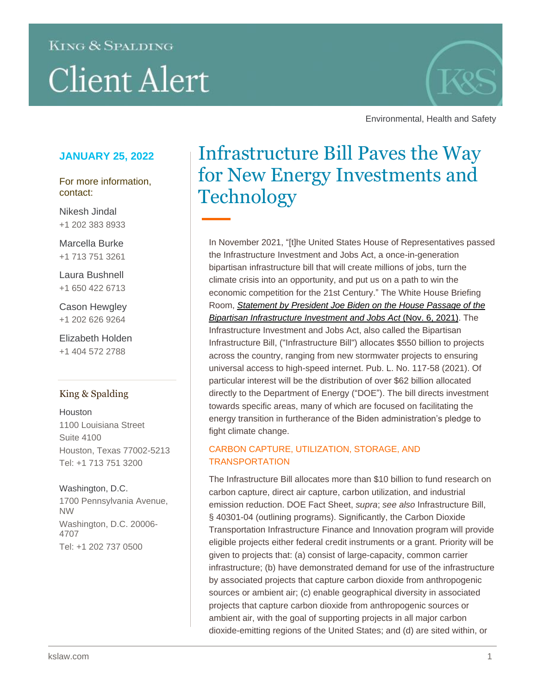# **KING & SPALDING**

# **Client Alert**



Environmental, Health and Safety

## **JANUARY 25, 2022**

For more information, contact:

Nikesh Jindal +1 202 383 8933

Marcella Burke +1 713 751 3261

Laura Bushnell +1 650 422 6713

Cason Hewgley +1 202 626 9264

Elizabeth Holden +1 404 572 2788

## King & Spalding

Houston 1100 Louisiana Street Suite 4100 Houston, Texas 77002-5213 Tel: +1 713 751 3200

Washington, D.C. 1700 Pennsylvania Avenue, NW Washington, D.C. 20006- 4707 Tel: +1 202 737 0500

# Infrastructure Bill Paves the Way for New Energy Investments and **Technology**

In November 2021, "[t]he United States House of Representatives passed the Infrastructure Investment and Jobs Act, a once-in-generation bipartisan infrastructure bill that will create millions of jobs, turn the climate crisis into an opportunity, and put us on a path to win the economic competition for the 21st Century." The White House Briefing Room, *[Statement by President Joe Biden on the House Passage of the](https://www.whitehouse.gov/briefing-room/statements-releases/2021/11/06/statement-by-president-joe-biden-on-the-house-passage-of-the-bipartisan-infrastructure-investment-and-jobs-act/)  [Bipartisan Infrastructure Investment and Jobs Act](https://www.whitehouse.gov/briefing-room/statements-releases/2021/11/06/statement-by-president-joe-biden-on-the-house-passage-of-the-bipartisan-infrastructure-investment-and-jobs-act/)* (Nov. 6, 2021). The Infrastructure Investment and Jobs Act, also called the Bipartisan Infrastructure Bill, ("Infrastructure Bill") allocates \$550 billion to projects across the country, ranging from new stormwater projects to ensuring universal access to high-speed internet. Pub. L. No. 117-58 (2021). Of particular interest will be the distribution of over \$62 billion allocated directly to the Department of Energy ("DOE"). The bill directs investment towards specific areas, many of which are focused on facilitating the energy transition in furtherance of the Biden administration's pledge to fight climate change.

### CARBON CAPTURE, UTILIZATION, STORAGE, AND **TRANSPORTATION**

The Infrastructure Bill allocates more than \$10 billion to fund research on carbon capture, direct air capture, carbon utilization, and industrial emission reduction. DOE Fact Sheet, *supra*; *see also* Infrastructure Bill, § 40301-04 (outlining programs). Significantly, the Carbon Dioxide Transportation Infrastructure Finance and Innovation program will provide eligible projects either federal credit instruments or a grant. Priority will be given to projects that: (a) consist of large-capacity, common carrier infrastructure; (b) have demonstrated demand for use of the infrastructure by associated projects that capture carbon dioxide from anthropogenic sources or ambient air; (c) enable geographical diversity in associated projects that capture carbon dioxide from anthropogenic sources or ambient air, with the goal of supporting projects in all major carbon dioxide-emitting regions of the United States; and (d) are sited within, or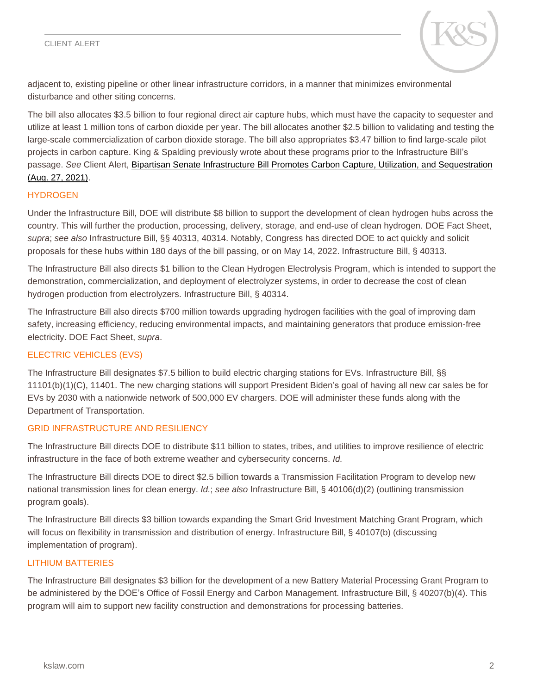#### CLIENT ALERT



adjacent to, existing pipeline or other linear infrastructure corridors, in a manner that minimizes environmental disturbance and other siting concerns.

The bill also allocates \$3.5 billion to four regional direct air capture hubs, which must have the capacity to sequester and utilize at least 1 million tons of carbon dioxide per year. The bill allocates another \$2.5 billion to validating and testing the large-scale commercialization of carbon dioxide storage. The bill also appropriates \$3.47 billion to find large-scale pilot projects in carbon capture. King & Spalding previously wrote about these programs prior to the Infrastructure Bill's passage. *See* Client Alert, [Bipartisan Senate Infrastructure Bill Promotes Carbon Capture, Utilization, and Sequestration](https://www.kslaw.com/news-and-insights/bipartisan-senate-infrastructure-bill-promotes-carbon-capture-utilization-and-sequestration)  [\(Aug. 27, 2021\).](https://www.kslaw.com/news-and-insights/bipartisan-senate-infrastructure-bill-promotes-carbon-capture-utilization-and-sequestration)

#### **HYDROGEN**

Under the Infrastructure Bill, DOE will distribute \$8 billion to support the development of clean hydrogen hubs across the country. This will further the production, processing, delivery, storage, and end-use of clean hydrogen. DOE Fact Sheet, *supra*; *see also* Infrastructure Bill, §§ 40313, 40314. Notably, Congress has directed DOE to act quickly and solicit proposals for these hubs within 180 days of the bill passing, or on May 14, 2022. Infrastructure Bill, § 40313.

The Infrastructure Bill also directs \$1 billion to the Clean Hydrogen Electrolysis Program, which is intended to support the demonstration, commercialization, and deployment of electrolyzer systems, in order to decrease the cost of clean hydrogen production from electrolyzers. Infrastructure Bill, § 40314.

The Infrastructure Bill also directs \$700 million towards upgrading hydrogen facilities with the goal of improving dam safety, increasing efficiency, reducing environmental impacts, and maintaining generators that produce emission-free electricity. DOE Fact Sheet, *supra*.

#### ELECTRIC VEHICLES (EVS)

The Infrastructure Bill designates \$7.5 billion to build electric charging stations for EVs. Infrastructure Bill, §§ 11101(b)(1)(C), 11401. The new charging stations will support President Biden's goal of having all new car sales be for EVs by 2030 with a nationwide network of 500,000 EV chargers. DOE will administer these funds along with the Department of Transportation.

#### GRID INFRASTRUCTURE AND RESILIENCY

The Infrastructure Bill directs DOE to distribute \$11 billion to states, tribes, and utilities to improve resilience of electric infrastructure in the face of both extreme weather and cybersecurity concerns. *Id.*

The Infrastructure Bill directs DOE to direct \$2.5 billion towards a Transmission Facilitation Program to develop new national transmission lines for clean energy. *Id.*; *see also* Infrastructure Bill, § 40106(d)(2) (outlining transmission program goals).

The Infrastructure Bill directs \$3 billion towards expanding the Smart Grid Investment Matching Grant Program, which will focus on flexibility in transmission and distribution of energy. Infrastructure Bill, § 40107(b) (discussing implementation of program).

#### LITHIUM BATTERIES

The Infrastructure Bill designates \$3 billion for the development of a new Battery Material Processing Grant Program to be administered by the DOE's Office of Fossil Energy and Carbon Management. Infrastructure Bill, § 40207(b)(4). This program will aim to support new facility construction and demonstrations for processing batteries.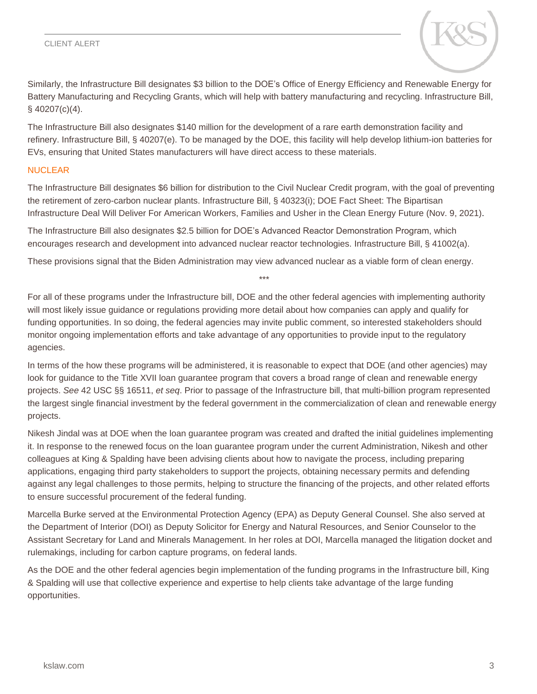#### CLIENT ALERT



Similarly, the Infrastructure Bill designates \$3 billion to the DOE's Office of Energy Efficiency and Renewable Energy for Battery Manufacturing and Recycling Grants, which will help with battery manufacturing and recycling. Infrastructure Bill, § 40207(c)(4).

The Infrastructure Bill also designates \$140 million for the development of a rare earth demonstration facility and refinery. Infrastructure Bill, § 40207(e). To be managed by the DOE, this facility will help develop lithium-ion batteries for EVs, ensuring that United States manufacturers will have direct access to these materials.

#### NUCLEAR

The Infrastructure Bill designates \$6 billion for distribution to the Civil Nuclear Credit program, with the goal of preventing the retirement of zero-carbon nuclear plants. Infrastructure Bill, § 40323(i); DOE Fact Sheet: The Bipartisan Infrastructure Deal Will Deliver For American Workers, Families and Usher in the Clean Energy Future (Nov. 9, 2021).

The Infrastructure Bill also designates \$2.5 billion for DOE's Advanced Reactor Demonstration Program, which encourages research and development into advanced nuclear reactor technologies. Infrastructure Bill, § 41002(a).

These provisions signal that the Biden Administration may view advanced nuclear as a viable form of clean energy.

\*\*\*

For all of these programs under the Infrastructure bill, DOE and the other federal agencies with implementing authority will most likely issue guidance or regulations providing more detail about how companies can apply and qualify for funding opportunities. In so doing, the federal agencies may invite public comment, so interested stakeholders should monitor ongoing implementation efforts and take advantage of any opportunities to provide input to the regulatory agencies.

In terms of the how these programs will be administered, it is reasonable to expect that DOE (and other agencies) may look for guidance to the Title XVII loan guarantee program that covers a broad range of clean and renewable energy projects. *See* 42 USC §§ 16511, *et seq*. Prior to passage of the Infrastructure bill, that multi-billion program represented the largest single financial investment by the federal government in the commercialization of clean and renewable energy projects.

Nikesh Jindal was at DOE when the loan guarantee program was created and drafted the initial guidelines implementing it. In response to the renewed focus on the loan guarantee program under the current Administration, Nikesh and other colleagues at King & Spalding have been advising clients about how to navigate the process, including preparing applications, engaging third party stakeholders to support the projects, obtaining necessary permits and defending against any legal challenges to those permits, helping to structure the financing of the projects, and other related efforts to ensure successful procurement of the federal funding.

Marcella Burke served at the Environmental Protection Agency (EPA) as Deputy General Counsel. She also served at the Department of Interior (DOI) as Deputy Solicitor for Energy and Natural Resources, and Senior Counselor to the Assistant Secretary for Land and Minerals Management. In her roles at DOI, Marcella managed the litigation docket and rulemakings, including for carbon capture programs, on federal lands.

As the DOE and the other federal agencies begin implementation of the funding programs in the Infrastructure bill, King & Spalding will use that collective experience and expertise to help clients take advantage of the large funding opportunities.